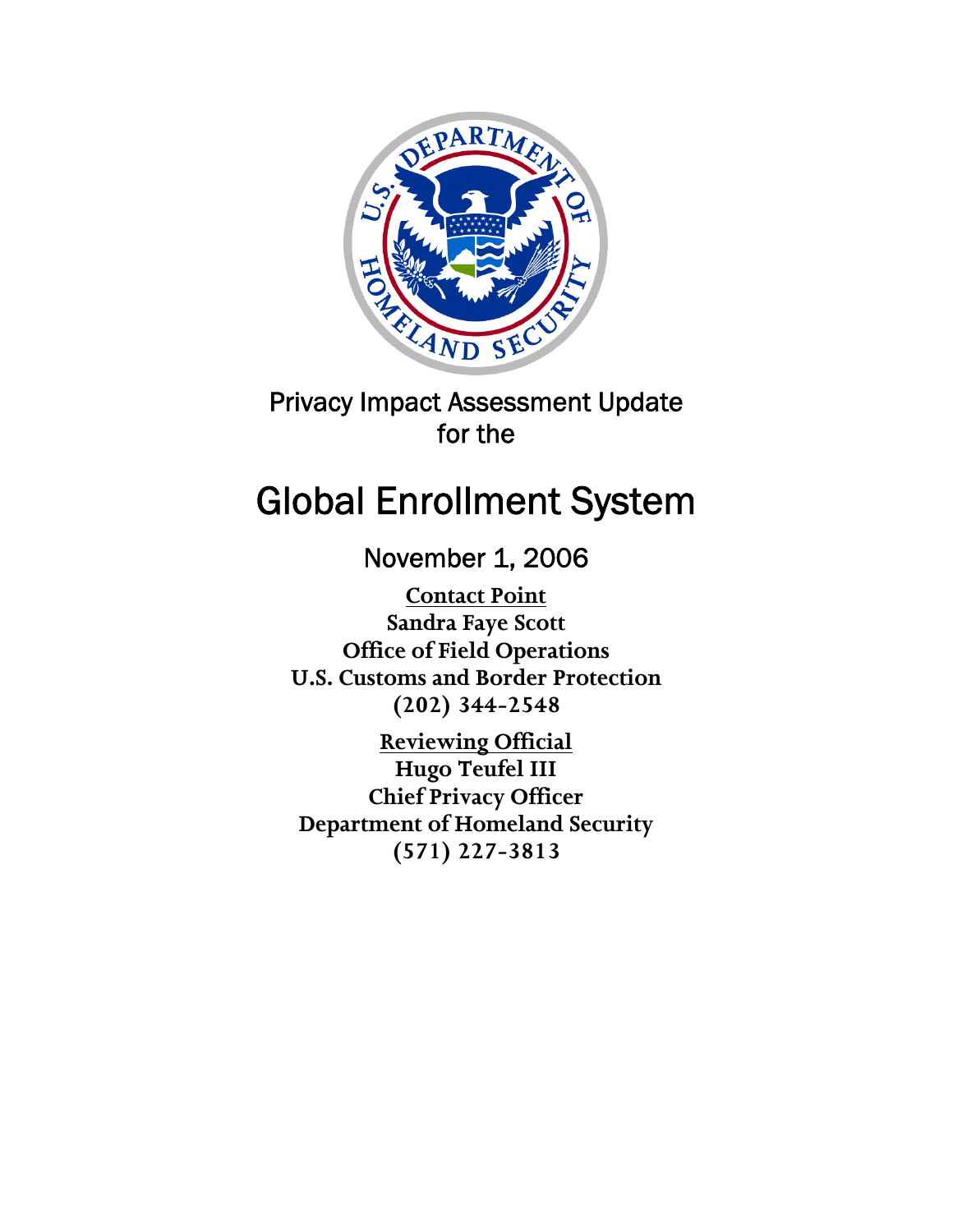

## Privacy Impact Assessment Update for the

# Global Enrollment System

## November 1, 2006

**Contact Point Sandra Faye Scott Office of Field Operations U.S. Customs and Border Protection (202) 344-2548** 

**Reviewing Official Hugo Teufel III Chief Privacy Officer Department of Homeland Security (571) 227-3813**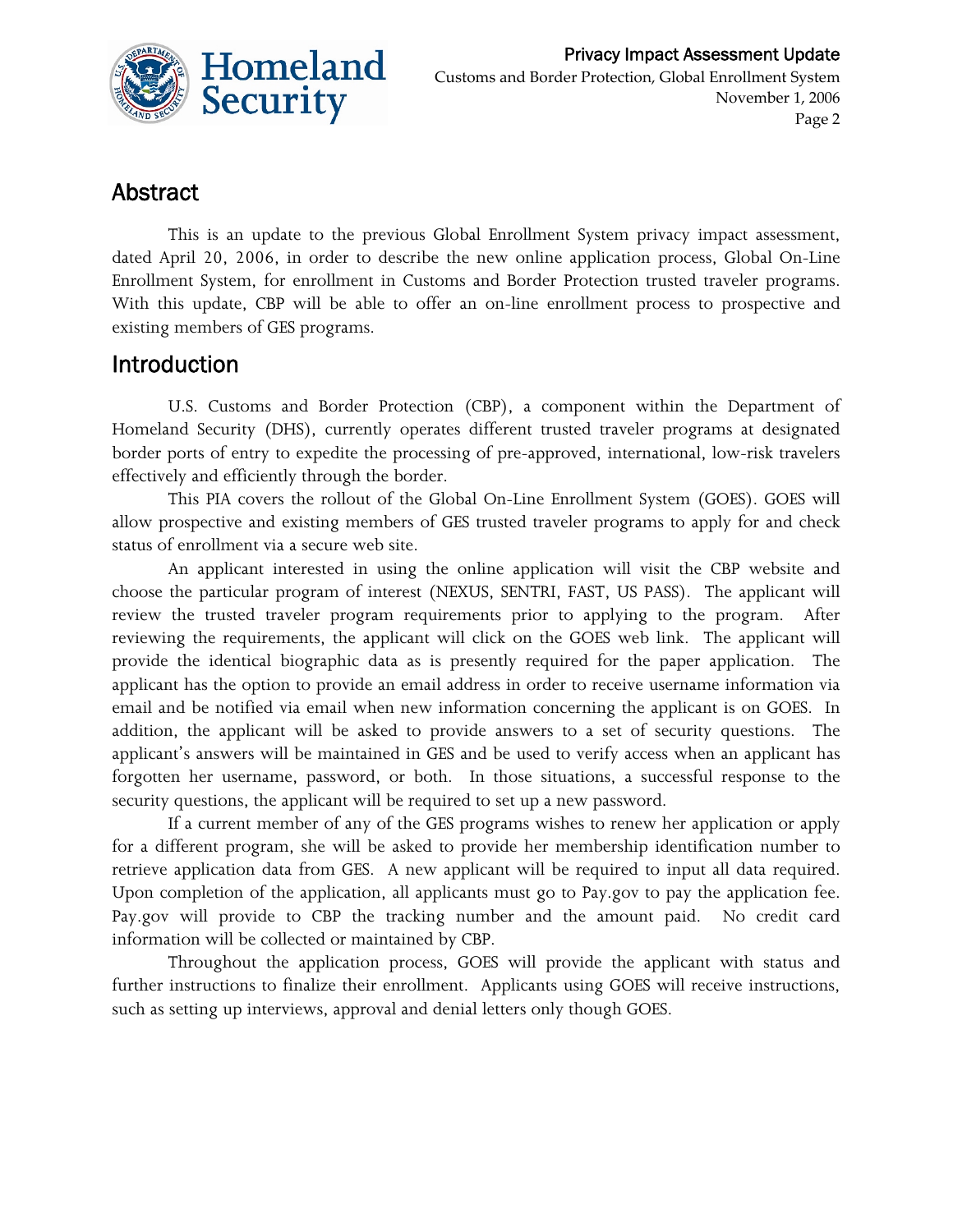

## Abstract

This is an update to the previous Global Enrollment System privacy impact assessment, dated April 20, 2006, in order to describe the new online application process, Global On-Line Enrollment System, for enrollment in Customs and Border Protection trusted traveler programs. With this update, CBP will be able to offer an on-line enrollment process to prospective and existing members of GES programs.

### Introduction

U.S. Customs and Border Protection (CBP), a component within the Department of Homeland Security (DHS), currently operates different trusted traveler programs at designated border ports of entry to expedite the processing of pre-approved, international, low-risk travelers effectively and efficiently through the border.

This PIA covers the rollout of the Global On-Line Enrollment System (GOES). GOES will allow prospective and existing members of GES trusted traveler programs to apply for and check status of enrollment via a secure web site.

An applicant interested in using the online application will visit the CBP website and choose the particular program of interest (NEXUS, SENTRI, FAST, US PASS). The applicant will review the trusted traveler program requirements prior to applying to the program. After reviewing the requirements, the applicant will click on the GOES web link. The applicant will provide the identical biographic data as is presently required for the paper application. The applicant has the option to provide an email address in order to receive username information via email and be notified via email when new information concerning the applicant is on GOES. In addition, the applicant will be asked to provide answers to a set of security questions. The applicant's answers will be maintained in GES and be used to verify access when an applicant has forgotten her username, password, or both. In those situations, a successful response to the security questions, the applicant will be required to set up a new password.

If a current member of any of the GES programs wishes to renew her application or apply for a different program, she will be asked to provide her membership identification number to retrieve application data from GES. A new applicant will be required to input all data required. Upon completion of the application, all applicants must go to Pay.gov to pay the application fee. Pay.gov will provide to CBP the tracking number and the amount paid. No credit card information will be collected or maintained by CBP.

Throughout the application process, GOES will provide the applicant with status and further instructions to finalize their enrollment. Applicants using GOES will receive instructions, such as setting up interviews, approval and denial letters only though GOES.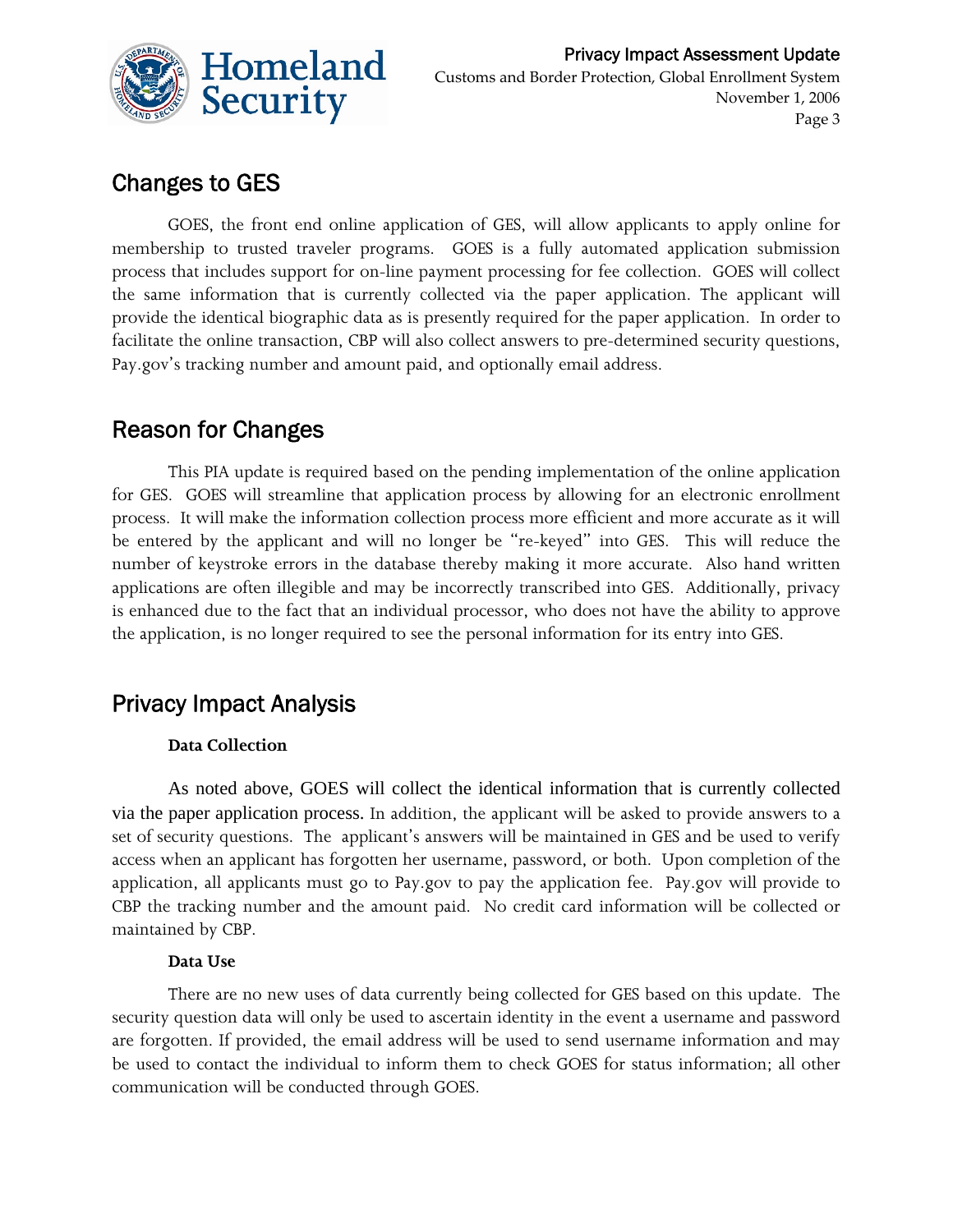

## Changes to GES

GOES, the front end online application of GES, will allow applicants to apply online for membership to trusted traveler programs. GOES is a fully automated application submission process that includes support for on-line payment processing for fee collection. GOES will collect the same information that is currently collected via the paper application. The applicant will provide the identical biographic data as is presently required for the paper application. In order to facilitate the online transaction, CBP will also collect answers to pre-determined security questions, Pay.gov's tracking number and amount paid, and optionally email address.

## Reason for Changes

This PIA update is required based on the pending implementation of the online application for GES. GOES will streamline that application process by allowing for an electronic enrollment process. It will make the information collection process more efficient and more accurate as it will be entered by the applicant and will no longer be "re-keyed" into GES. This will reduce the number of keystroke errors in the database thereby making it more accurate. Also hand written applications are often illegible and may be incorrectly transcribed into GES. Additionally, privacy is enhanced due to the fact that an individual processor, who does not have the ability to approve the application, is no longer required to see the personal information for its entry into GES.

## Privacy Impact Analysis

#### **Data Collection**

As noted above, GOES will collect the identical information that is currently collected via the paper application process. In addition, the applicant will be asked to provide answers to a set of security questions. The applicant's answers will be maintained in GES and be used to verify access when an applicant has forgotten her username, password, or both. Upon completion of the application, all applicants must go to Pay.gov to pay the application fee. Pay.gov will provide to CBP the tracking number and the amount paid. No credit card information will be collected or maintained by CBP.

#### **Data Use**

There are no new uses of data currently being collected for GES based on this update. The security question data will only be used to ascertain identity in the event a username and password are forgotten. If provided, the email address will be used to send username information and may be used to contact the individual to inform them to check GOES for status information; all other communication will be conducted through GOES.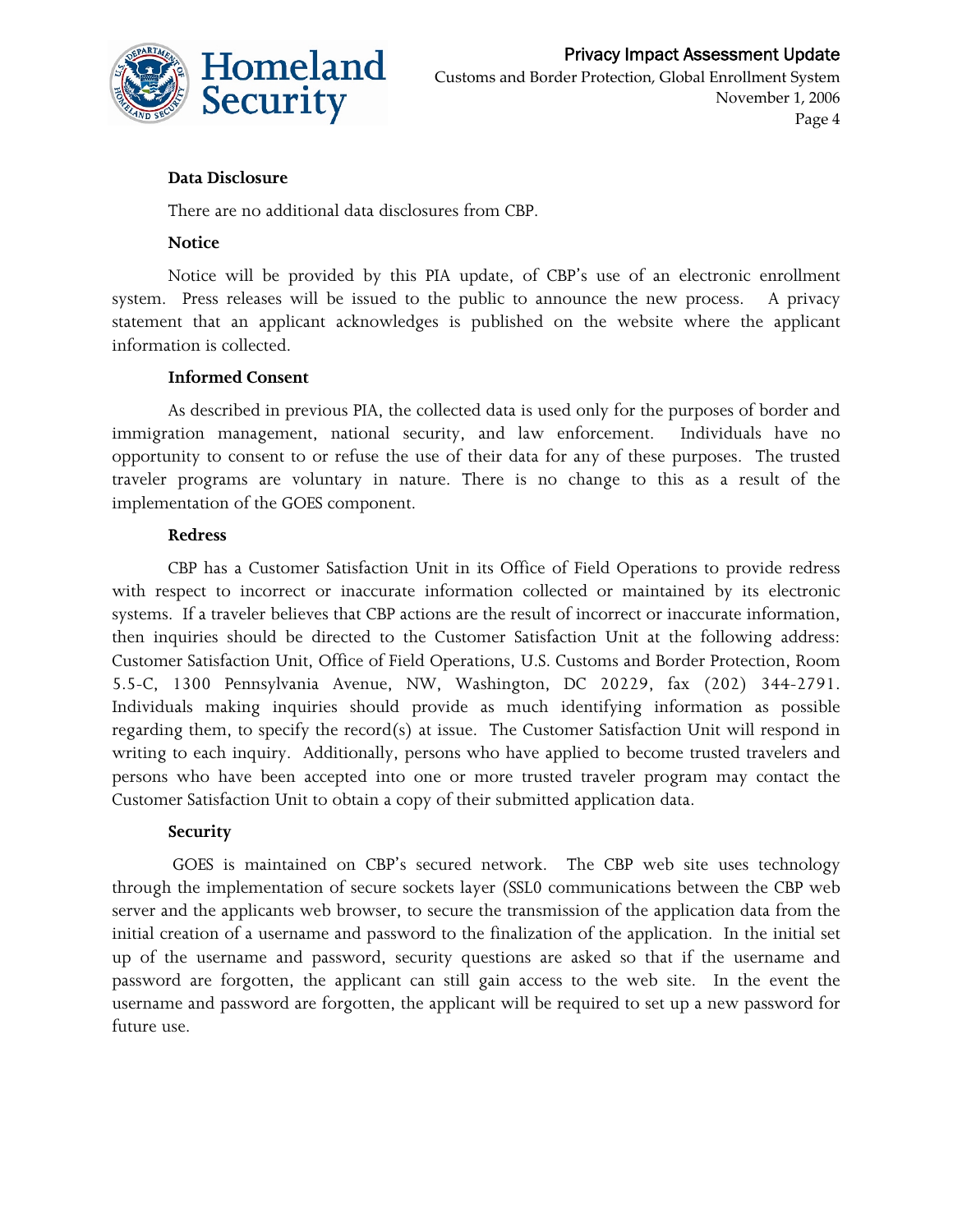

#### **Data Disclosure**

There are no additional data disclosures from CBP.

#### **Notice**

Notice will be provided by this PIA update, of CBP's use of an electronic enrollment system. Press releases will be issued to the public to announce the new process. A privacy statement that an applicant acknowledges is published on the website where the applicant information is collected.

#### **Informed Consent**

As described in previous PIA, the collected data is used only for the purposes of border and immigration management, national security, and law enforcement. Individuals have no opportunity to consent to or refuse the use of their data for any of these purposes. The trusted traveler programs are voluntary in nature. There is no change to this as a result of the implementation of the GOES component.

#### **Redress**

CBP has a Customer Satisfaction Unit in its Office of Field Operations to provide redress with respect to incorrect or inaccurate information collected or maintained by its electronic systems. If a traveler believes that CBP actions are the result of incorrect or inaccurate information, then inquiries should be directed to the Customer Satisfaction Unit at the following address: Customer Satisfaction Unit, Office of Field Operations, U.S. Customs and Border Protection, Room 5.5-C, 1300 Pennsylvania Avenue, NW, Washington, DC 20229, fax (202) 344-2791. Individuals making inquiries should provide as much identifying information as possible regarding them, to specify the record(s) at issue. The Customer Satisfaction Unit will respond in writing to each inquiry. Additionally, persons who have applied to become trusted travelers and persons who have been accepted into one or more trusted traveler program may contact the Customer Satisfaction Unit to obtain a copy of their submitted application data.

#### **Security**

 GOES is maintained on CBP's secured network. The CBP web site uses technology through the implementation of secure sockets layer (SSL0 communications between the CBP web server and the applicants web browser, to secure the transmission of the application data from the initial creation of a username and password to the finalization of the application. In the initial set up of the username and password, security questions are asked so that if the username and password are forgotten, the applicant can still gain access to the web site. In the event the username and password are forgotten, the applicant will be required to set up a new password for future use.